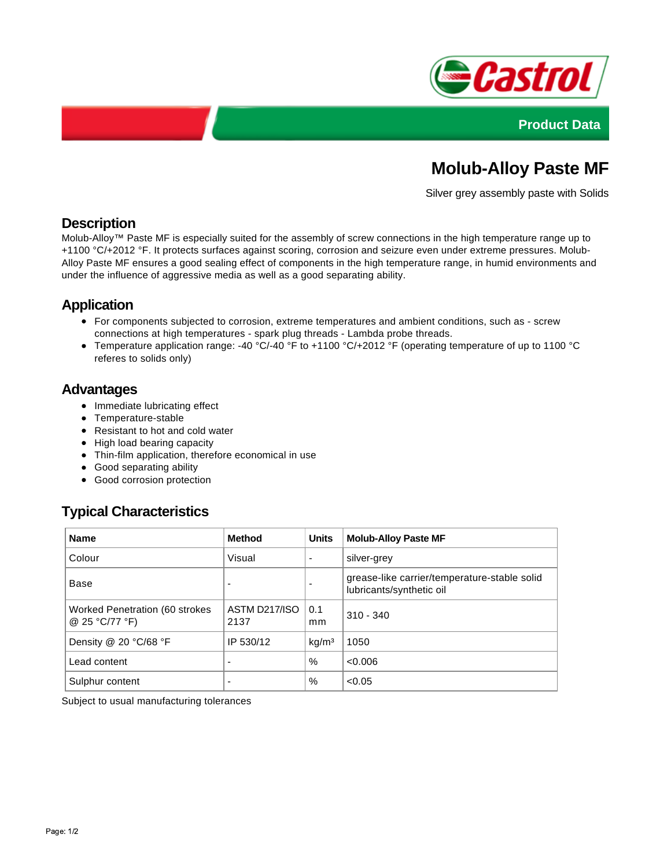



# **Molub-Alloy Paste MF**

Silver grey assembly paste with Solids

## **Description**

Molub-Alloy™ Paste MF is especially suited for the assembly of screw connections in the high temperature range up to +1100 °C/+2012 °F. It protects surfaces against scoring, corrosion and seizure even under extreme pressures. Molub-Alloy Paste MF ensures a good sealing effect of components in the high temperature range, in humid environments and under the influence of aggressive media as well as a good separating ability.

## **Application**

- For components subjected to corrosion, extreme temperatures and ambient conditions, such as screw connections at high temperatures - spark plug threads - Lambda probe threads.
- Temperature application range: -40 °C/-40 °F to +1100 °C/+2012 °F (operating temperature of up to 1100 °C referes to solids only)

#### **Advantages**

- Immediate lubricating effect
- Temperature-stable
- Resistant to hot and cold water
- High load bearing capacity
- Thin-film application, therefore economical in use
- Good separating ability
- Good corrosion protection

# **Typical Characteristics**

| <b>Name</b>                                      | <b>Method</b>         | <b>Units</b>             | <b>Molub-Alloy Paste MF</b>                                              |
|--------------------------------------------------|-----------------------|--------------------------|--------------------------------------------------------------------------|
| Colour                                           | Visual                | $\overline{\phantom{a}}$ | silver-grey                                                              |
| Base                                             |                       | $\overline{\phantom{0}}$ | grease-like carrier/temperature-stable solid<br>lubricants/synthetic oil |
| Worked Penetration (60 strokes<br>@ 25 °C/77 °F) | ASTM D217/ISO<br>2137 | 0.1<br>mm                | $310 - 340$                                                              |
| Density @ 20 °C/68 °F                            | IP 530/12             | kg/m <sup>3</sup>        | 1050                                                                     |
| Lead content                                     | ۰                     | $\%$                     | < 0.006                                                                  |
| Sulphur content                                  | ٠                     | %                        | < 0.05                                                                   |

Subject to usual manufacturing tolerances